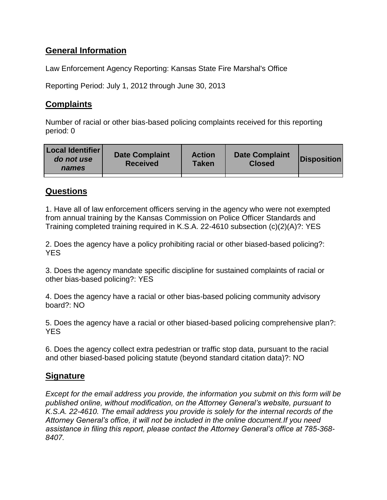# **General Information**

Law Enforcement Agency Reporting: Kansas State Fire Marshal's Office

Reporting Period: July 1, 2012 through June 30, 2013

# **Complaints**

Number of racial or other bias-based policing complaints received for this reporting period: 0

| <b>Local Identifier</b><br>do not use<br>names | <b>Date Complaint</b><br><b>Received</b> | <b>Action</b><br>Taken | <b>Date Complaint</b><br><b>Closed</b> | Disposition |
|------------------------------------------------|------------------------------------------|------------------------|----------------------------------------|-------------|
|                                                |                                          |                        |                                        |             |

## **Questions**

1. Have all of law enforcement officers serving in the agency who were not exempted from annual training by the Kansas Commission on Police Officer Standards and Training completed training required in K.S.A. 22-4610 subsection (c)(2)(A)?: YES

2. Does the agency have a policy prohibiting racial or other biased-based policing?: **YES** 

3. Does the agency mandate specific discipline for sustained complaints of racial or other bias-based policing?: YES

4. Does the agency have a racial or other bias-based policing community advisory board?: NO

5. Does the agency have a racial or other biased-based policing comprehensive plan?: YES

6. Does the agency collect extra pedestrian or traffic stop data, pursuant to the racial and other biased-based policing statute (beyond standard citation data)?: NO

## **Signature**

*Except for the email address you provide, the information you submit on this form will be published online, without modification, on the Attorney General's website, pursuant to K.S.A. 22-4610. The email address you provide is solely for the internal records of the Attorney General's office, it will not be included in the online document.If you need assistance in filing this report, please contact the Attorney General's office at 785-368- 8407.*